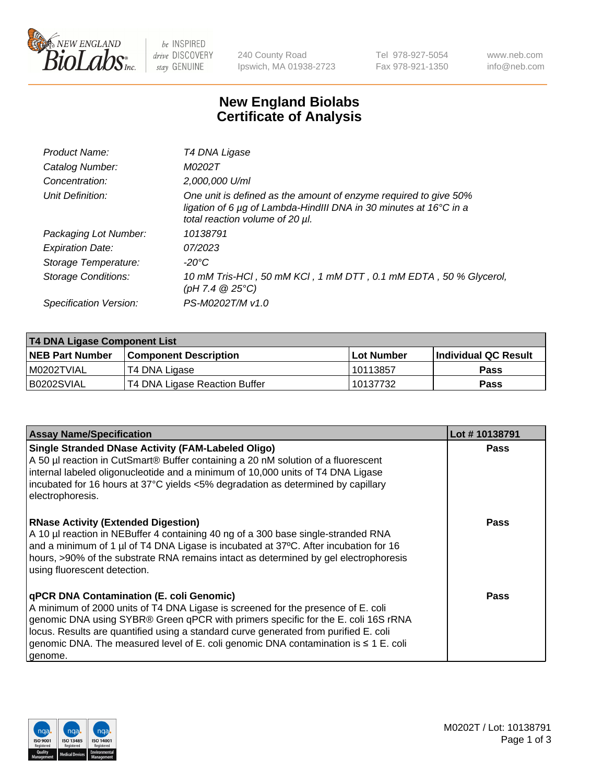

 $be$  INSPIRED drive DISCOVERY stay GENUINE

240 County Road Ipswich, MA 01938-2723 Tel 978-927-5054 Fax 978-921-1350 www.neb.com info@neb.com

## **New England Biolabs Certificate of Analysis**

| Product Name:           | T4 DNA Ligase                                                                                                                                                                           |
|-------------------------|-----------------------------------------------------------------------------------------------------------------------------------------------------------------------------------------|
| Catalog Number:         | M0202T                                                                                                                                                                                  |
| Concentration:          | 2,000,000 U/ml                                                                                                                                                                          |
| Unit Definition:        | One unit is defined as the amount of enzyme required to give 50%<br>ligation of 6 $\mu$ g of Lambda-HindIII DNA in 30 minutes at 16 $\degree$ C in a<br>total reaction volume of 20 µl. |
| Packaging Lot Number:   | 10138791                                                                                                                                                                                |
| <b>Expiration Date:</b> | 07/2023                                                                                                                                                                                 |
| Storage Temperature:    | $-20^{\circ}$ C                                                                                                                                                                         |
| Storage Conditions:     | 10 mM Tris-HCl, 50 mM KCl, 1 mM DTT, 0.1 mM EDTA, 50 % Glycerol,<br>(pH 7.4 $@25°C$ )                                                                                                   |
| Specification Version:  | PS-M0202T/M v1.0                                                                                                                                                                        |

| T4 DNA Ligase Component List |                               |            |                      |  |  |
|------------------------------|-------------------------------|------------|----------------------|--|--|
| <b>NEB Part Number</b>       | <b>Component Description</b>  | Lot Number | Individual QC Result |  |  |
| I M0202TVIAL                 | T4 DNA Ligase                 | 10113857   | <b>Pass</b>          |  |  |
| B0202SVIAL                   | T4 DNA Ligase Reaction Buffer | 10137732   | <b>Pass</b>          |  |  |

| <b>Assay Name/Specification</b>                                                                                                                                                                                                                                                                                                                                                                             | Lot #10138791 |
|-------------------------------------------------------------------------------------------------------------------------------------------------------------------------------------------------------------------------------------------------------------------------------------------------------------------------------------------------------------------------------------------------------------|---------------|
| <b>Single Stranded DNase Activity (FAM-Labeled Oligo)</b><br>A 50 µl reaction in CutSmart® Buffer containing a 20 nM solution of a fluorescent<br>internal labeled oligonucleotide and a minimum of 10,000 units of T4 DNA Ligase<br>incubated for 16 hours at 37°C yields <5% degradation as determined by capillary<br>electrophoresis.                                                                   | <b>Pass</b>   |
| <b>RNase Activity (Extended Digestion)</b><br>A 10 µl reaction in NEBuffer 4 containing 40 ng of a 300 base single-stranded RNA<br>and a minimum of 1 µl of T4 DNA Ligase is incubated at 37°C. After incubation for 16<br>hours, >90% of the substrate RNA remains intact as determined by gel electrophoresis<br>using fluorescent detection.                                                             | <b>Pass</b>   |
| qPCR DNA Contamination (E. coli Genomic)<br>A minimum of 2000 units of T4 DNA Ligase is screened for the presence of E. coli<br>genomic DNA using SYBR® Green qPCR with primers specific for the E. coli 16S rRNA<br>locus. Results are quantified using a standard curve generated from purified E. coli<br>genomic DNA. The measured level of E. coli genomic DNA contamination is ≤ 1 E. coli<br>genome. | Pass          |

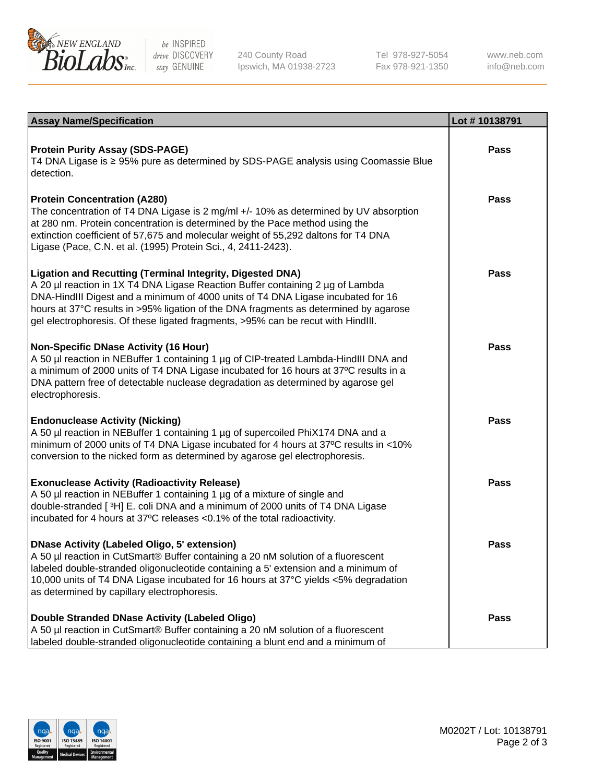

be INSPIRED drive DISCOVERY stay GENUINE

240 County Road Ipswich, MA 01938-2723 Tel 978-927-5054 Fax 978-921-1350

www.neb.com info@neb.com

| <b>Assay Name/Specification</b>                                                                                                                                                                                                                                                                                                                                                                                    | Lot #10138791 |
|--------------------------------------------------------------------------------------------------------------------------------------------------------------------------------------------------------------------------------------------------------------------------------------------------------------------------------------------------------------------------------------------------------------------|---------------|
| <b>Protein Purity Assay (SDS-PAGE)</b><br>T4 DNA Ligase is ≥ 95% pure as determined by SDS-PAGE analysis using Coomassie Blue<br>detection.                                                                                                                                                                                                                                                                        | <b>Pass</b>   |
| <b>Protein Concentration (A280)</b><br>The concentration of T4 DNA Ligase is 2 mg/ml +/- 10% as determined by UV absorption<br>at 280 nm. Protein concentration is determined by the Pace method using the<br>extinction coefficient of 57,675 and molecular weight of 55,292 daltons for T4 DNA<br>Ligase (Pace, C.N. et al. (1995) Protein Sci., 4, 2411-2423).                                                  | <b>Pass</b>   |
| <b>Ligation and Recutting (Terminal Integrity, Digested DNA)</b><br>A 20 µl reaction in 1X T4 DNA Ligase Reaction Buffer containing 2 µg of Lambda<br>DNA-HindIII Digest and a minimum of 4000 units of T4 DNA Ligase incubated for 16<br>hours at 37°C results in >95% ligation of the DNA fragments as determined by agarose<br>gel electrophoresis. Of these ligated fragments, >95% can be recut with HindIII. | <b>Pass</b>   |
| <b>Non-Specific DNase Activity (16 Hour)</b><br>A 50 µl reaction in NEBuffer 1 containing 1 µg of CIP-treated Lambda-HindIII DNA and<br>a minimum of 2000 units of T4 DNA Ligase incubated for 16 hours at 37°C results in a<br>DNA pattern free of detectable nuclease degradation as determined by agarose gel<br>electrophoresis.                                                                               | Pass          |
| <b>Endonuclease Activity (Nicking)</b><br>A 50 µl reaction in NEBuffer 1 containing 1 µg of supercoiled PhiX174 DNA and a<br>minimum of 2000 units of T4 DNA Ligase incubated for 4 hours at 37°C results in <10%<br>conversion to the nicked form as determined by agarose gel electrophoresis.                                                                                                                   | <b>Pass</b>   |
| <b>Exonuclease Activity (Radioactivity Release)</b><br>A 50 µl reaction in NEBuffer 1 containing 1 µg of a mixture of single and<br>double-stranded [3H] E. coli DNA and a minimum of 2000 units of T4 DNA Ligase<br>incubated for 4 hours at 37°C releases <0.1% of the total radioactivity.                                                                                                                      | <b>Pass</b>   |
| <b>DNase Activity (Labeled Oligo, 5' extension)</b><br>A 50 µl reaction in CutSmart® Buffer containing a 20 nM solution of a fluorescent<br>labeled double-stranded oligonucleotide containing a 5' extension and a minimum of<br>10,000 units of T4 DNA Ligase incubated for 16 hours at 37°C yields <5% degradation<br>as determined by capillary electrophoresis.                                               | <b>Pass</b>   |
| <b>Double Stranded DNase Activity (Labeled Oligo)</b><br>A 50 µl reaction in CutSmart® Buffer containing a 20 nM solution of a fluorescent<br>labeled double-stranded oligonucleotide containing a blunt end and a minimum of                                                                                                                                                                                      | <b>Pass</b>   |